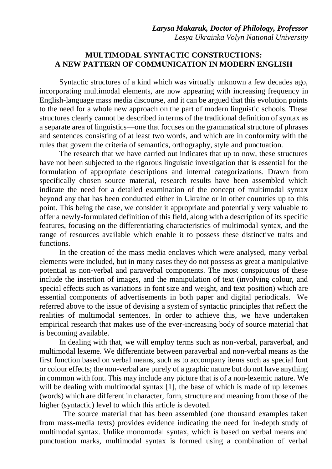## **MULTIMODAL SYNTACTIC CONSTRUCTIONS: A NEW PATTERN OF COMMUNICATION IN MODERN ENGLISH**

Syntactic structures of a kind which was virtually unknown a few decades ago, incorporating multimodal elements, are now appearing with increasing frequency in English-language mass media discourse, and it can be argued that this evolution points to the need for a whole new approach on the part of modern linguistic schools. These structures clearly cannot be described in terms of the traditional definition of syntax as a separate area of linguistics—one that focuses on the grammatical structure of phrases and sentences consisting of at least two words, and which are in conformity with the rules that govern the criteria of semantics, orthography, style and punctuation.

The research that we have carried out indicates that up to now, these structures have not been subjected to the rigorous linguistic investigation that is essential for the formulation of appropriate descriptions and internal categorizations. Drawn from specifically chosen source material, research results have been assembled which indicate the need for a detailed examination of the concept of multimodal syntax beyond any that has been conducted either in Ukraine or in other countries up to this point. This being the case, we consider it appropriate and potentially very valuable to offer a newly-formulated definition of this field, along with a description of its specific features, focusing on the differentiating characteristics of multimodal syntax, and the range of resources available which enable it to possess these distinctive traits and functions.

In the creation of the mass media enclaves which were analysed, many verbal elements were included, but in many cases they do not possess as great a manipulative potential as non-verbal and paraverbal components. The most conspicuous of these include the insertion of images, and the manipulation of text (involving colour, and special effects such as variations in font size and weight, and text position) which are essential components of advertisements in both paper and digital periodicals. We referred above to the issue of devising a system of syntactic principles that reflect the realities of multimodal sentences. In order to achieve this, we have undertaken empirical research that makes use of the ever-increasing body of source material that is becoming available.

In dealing with that, we will employ terms such as non-verbal, paraverbal, and multimodal lexeme. We differentiate between paraverbal and non-verbal means as the first function based on verbal means, such as to accompany items such as special font or colour effects; the non-verbal are purely of a graphic nature but do not have anything in common with font. This may include any picture that is of a non-lexemic nature. We will be dealing with multimodal syntax [1], the base of which is made of up lexemes (words) which are different in character, form, structure and meaning from those of the higher (syntactic) level to which this article is devoted.

 The source material that has been assembled (one thousand examples taken from mass-media texts) provides evidence indicating the need for in-depth study of multimodal syntax. Unlike monomodal syntax, which is based on verbal means and punctuation marks, multimodal syntax is formed using a combination of verbal